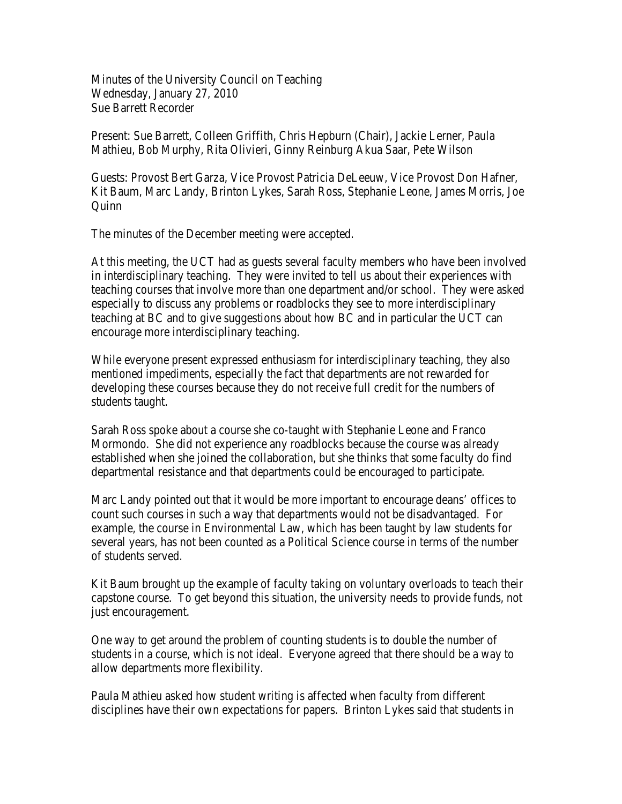Minutes of the University Council on Teaching Wednesday, January 27, 2010 Sue Barrett Recorder

Present: Sue Barrett, Colleen Griffith, Chris Hepburn (Chair), Jackie Lerner, Paula Mathieu, Bob Murphy, Rita Olivieri, Ginny Reinburg Akua Saar, Pete Wilson

Guests: Provost Bert Garza, Vice Provost Patricia DeLeeuw, Vice Provost Don Hafner, Kit Baum, Marc Landy, Brinton Lykes, Sarah Ross, Stephanie Leone, James Morris, Joe **Quinn** 

The minutes of the December meeting were accepted.

At this meeting, the UCT had as guests several faculty members who have been involved in interdisciplinary teaching. They were invited to tell us about their experiences with teaching courses that involve more than one department and/or school. They were asked especially to discuss any problems or roadblocks they see to more interdisciplinary teaching at BC and to give suggestions about how BC and in particular the UCT can encourage more interdisciplinary teaching.

While everyone present expressed enthusiasm for interdisciplinary teaching, they also mentioned impediments, especially the fact that departments are not rewarded for developing these courses because they do not receive full credit for the numbers of students taught.

Sarah Ross spoke about a course she co-taught with Stephanie Leone and Franco Mormondo. She did not experience any roadblocks because the course was already established when she joined the collaboration, but she thinks that some faculty do find departmental resistance and that departments could be encouraged to participate.

Marc Landy pointed out that it would be more important to encourage deans' offices to count such courses in such a way that departments would not be disadvantaged. For example, the course in Environmental Law, which has been taught by law students for several years, has not been counted as a Political Science course in terms of the number of students served.

Kit Baum brought up the example of faculty taking on voluntary overloads to teach their capstone course. To get beyond this situation, the university needs to provide funds, not just encouragement.

One way to get around the problem of counting students is to double the number of students in a course, which is not ideal. Everyone agreed that there should be a way to allow departments more flexibility.

Paula Mathieu asked how student writing is affected when faculty from different disciplines have their own expectations for papers. Brinton Lykes said that students in